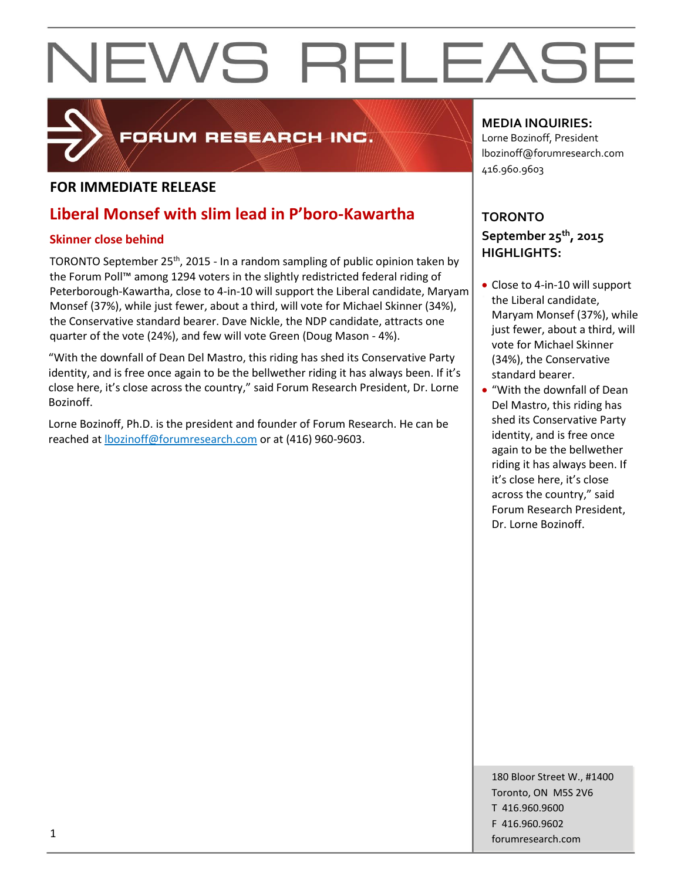

### FORUM RESEARCH INC.

### **FOR IMMEDIATE RELEASE**

### **Liberal Monsef with slim lead in P'boro-Kawartha**

### **Skinner close behind**

TORONTO September 25<sup>th</sup>, 2015 - In a random sampling of public opinion taken by the Forum Poll™ among 1294 voters in the slightly redistricted federal riding of Peterborough-Kawartha, close to 4-in-10 will support the Liberal candidate, Maryam Monsef (37%), while just fewer, about a third, will vote for Michael Skinner (34%), the Conservative standard bearer. Dave Nickle, the NDP candidate, attracts one quarter of the vote (24%), and few will vote Green (Doug Mason - 4%).

"With the downfall of Dean Del Mastro, this riding has shed its Conservative Party identity, and is free once again to be the bellwether riding it has always been. If it's close here, it's close across the country," said Forum Research President, Dr. Lorne Bozinoff.

Lorne Bozinoff, Ph.D. is the president and founder of Forum Research. He can be reached at [lbozinoff@forumresearch.com](mailto:lbozinoff@forumresearch.com) or at (416) 960-9603.

### **MEDIA INQUIRIES:**

Lorne Bozinoff, President lbozinoff@forumresearch.com 416.960.9603

### **TORONTO September 25th, 2015 HIGHLIGHTS:**

- Close to 4-in-10 will support the Liberal candidate, Maryam Monsef (37%), while just fewer, about a third, will vote for Michael Skinner (34%), the Conservative standard bearer.
- "With the downfall of Dean Del Mastro, this riding has shed its Conservative Party identity, and is free once again to be the bellwether riding it has always been. If it's close here, it's close across the country," said Forum Research President, Dr. Lorne Bozinoff.

180 Bloor Street W., #1400 Toronto, ON M5S 2V6 T 416.960.9600 F 416.960.9602 forumresearch.com 1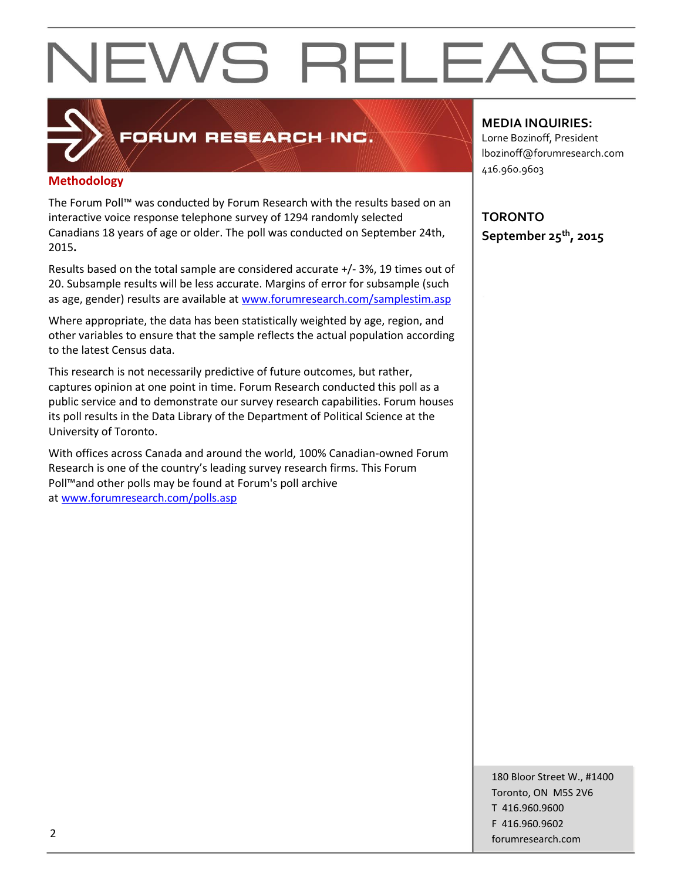## FORUM RESEARCH INC.

### **Methodology**

The Forum Poll™ was conducted by Forum Research with the results based on an interactive voice response telephone survey of 1294 randomly selected Canadians 18 years of age or older. The poll was conducted on September 24th, 2015**.**

Results based on the total sample are considered accurate +/- 3%, 19 times out of 20. Subsample results will be less accurate. Margins of error for subsample (such as age, gender) results are available at [www.forumresearch.com/samplestim.asp](http://www.forumresearch.com/samplestim.asp)

Where appropriate, the data has been statistically weighted by age, region, and other variables to ensure that the sample reflects the actual population according to the latest Census data.

This research is not necessarily predictive of future outcomes, but rather, captures opinion at one point in time. Forum Research conducted this poll as a public service and to demonstrate our survey research capabilities. Forum houses its poll results in the Data Library of the Department of Political Science at the University of Toronto.

With offices across Canada and around the world, 100% Canadian-owned Forum Research is one of the country's leading survey research firms. This Forum Poll™and other polls may be found at Forum's poll archive at [www.forumresearch.com/polls.asp](http://www.forumresearch.com/polls.asp)

### **MEDIA INQUIRIES:**

Lorne Bozinoff, President lbozinoff@forumresearch.com 416.960.9603

**TORONTO September 25th, 2015**

180 Bloor Street W., #1400 Toronto, ON M5S 2V6 T 416.960.9600 F 416.960.9602 example to the contract of the contract of the contract of the contract of the contract of the contract of the contract of the contract of the contract of the contract of the contract of the contract of the contract of the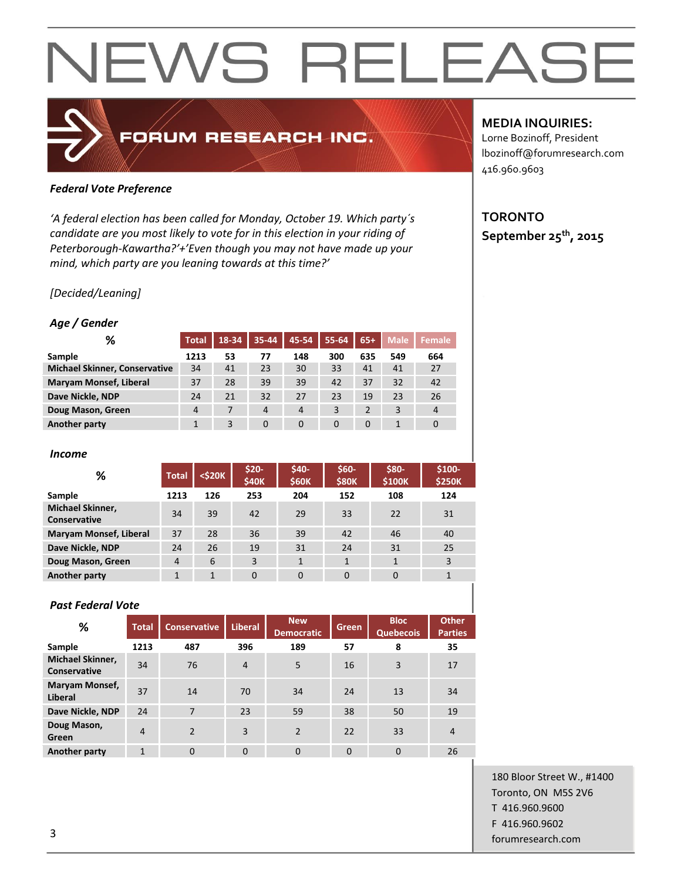### *Federal Vote Preference*

*'A federal election has been called for Monday, October 19. Which party´s candidate are you most likely to vote for in this election in your riding of Peterborough-Kawartha?'+'Even though you may not have made up your mind, which party are you leaning towards at this time?'*

FORUM RESEARCH INC.

### *[Decided/Leaning]*

#### *Age / Gender*

| %                                    | <b>Total</b> | 18-34 | 35-44          | 45-54          | 55-64    | $65+$    | <b>Male</b> | Female         |
|--------------------------------------|--------------|-------|----------------|----------------|----------|----------|-------------|----------------|
| Sample                               | 1213         | 53    | 77             | 148            | 300      | 635      | 549         | 664            |
| <b>Michael Skinner, Conservative</b> | 34           | 41    | 23             | 30             | 33       | 41       | 41          | 27             |
| <b>Maryam Monsef, Liberal</b>        | 37           | 28    | 39             | 39             | 42       | 37       | 32          | 42             |
| Dave Nickle, NDP                     | 24           | 21    | 32             | 27             | 23       | 19       | 23          | 26             |
| Doug Mason, Green                    | 4            |       | $\overline{4}$ | $\overline{4}$ | 3        | 2        | 3           | $\overline{4}$ |
| Another party                        |              | 3     | $\Omega$       | $\Omega$       | $\Omega$ | $\Omega$ |             |                |

#### *Income*

| %                                              | <b>Total</b>   | <\$20K | $$20-$<br><b>\$40K</b> | \$40-<br><b>\$60K</b> | $$60-$<br><b>\$80K</b> | \$80-<br>\$100K | \$100-<br><b>\$250K</b> |
|------------------------------------------------|----------------|--------|------------------------|-----------------------|------------------------|-----------------|-------------------------|
| Sample                                         | 1213           | 126    | 253                    | 204                   | 152                    | 108             | 124                     |
| <b>Michael Skinner,</b><br><b>Conservative</b> | 34             | 39     | 42                     | 29                    | 33                     | 22              | 31                      |
| <b>Maryam Monsef, Liberal</b>                  | 37             | 28     | 36                     | 39                    | 42                     | 46              | 40                      |
| Dave Nickle, NDP                               | 24             | 26     | 19                     | 31                    | 24                     | 31              | 25                      |
| Doug Mason, Green                              | $\overline{4}$ | 6      | 3                      | $\mathbf{1}$          | 1                      |                 | 3                       |
| Another party                                  |                | 1      | $\mathbf{0}$           | $\mathbf 0$           | $\Omega$               | $\Omega$        | 1                       |

#### *Past Federal Vote*

| %                                              | <b>Total</b>   | <b>Conservative</b> | <b>Liberal</b> | <b>New</b><br><b>Democratic</b> | Green    | <b>Bloc</b><br><b>Quebecois</b> | <b>Other</b><br><b>Parties</b> |
|------------------------------------------------|----------------|---------------------|----------------|---------------------------------|----------|---------------------------------|--------------------------------|
| Sample                                         | 1213           | 487                 | 396            | 189                             | 57       | 8                               | 35                             |
| <b>Michael Skinner,</b><br><b>Conservative</b> | 34             | 76                  | $\overline{4}$ | 5                               | 16       | 3                               | 17                             |
| <b>Maryam Monsef,</b><br>Liberal               | 37             | 14                  | 70             | 34                              | 24       | 13                              | 34                             |
| Dave Nickle, NDP                               | 24             | 7                   | 23             | 59                              | 38       | 50                              | 19                             |
| Doug Mason,<br>Green                           | $\overline{4}$ | $\overline{2}$      | 3              | $\overline{2}$                  | 22       | 33                              | $\overline{4}$                 |
| Another party                                  | $\mathbf{1}$   | $\Omega$            | $\Omega$       | $\Omega$                        | $\Omega$ | $\Omega$                        | 26                             |

### **MEDIA INQUIRIES:**

Lorne Bozinoff, President lbozinoff@forumresearch.com 416.960.9603

### **TORONTO September 25th, 2015**

180 Bloor Street W., #1400 Toronto, ON M5S 2V6 T 416.960.9600 F 416.960.9602 forumresearch.com and the set of the set of the set of the set of the set of the set of the set of the set of the set of the set of the set of the set of the set of the set of the set of the set of the set of the set of th